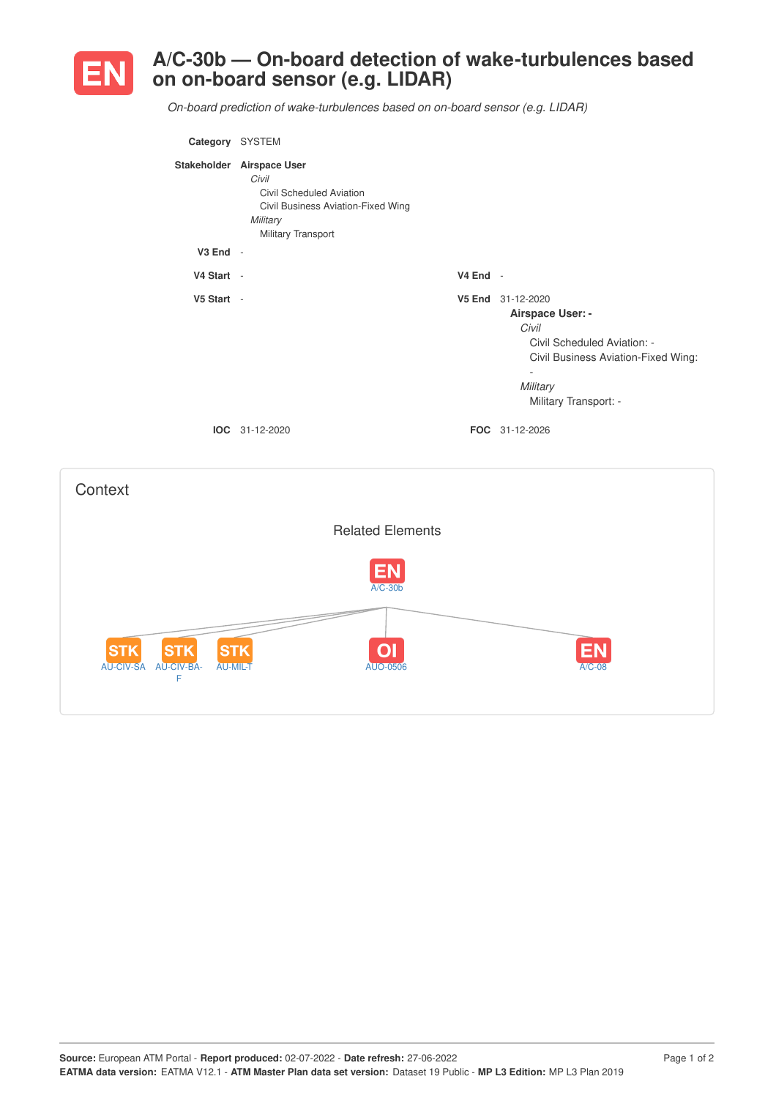

AU-CIV-SA AU-CIV-BA-

**STK** 

F

STK

**STK** 

## **A/C-30b — On-board detection of wake-turbulences based on on-board sensor (e.g. LIDAR)**

*On-board prediction of wake-turbulences based on on-board sensor (e.g. LIDAR)*

| Category SYSTEM |                                                                                                                                               |          |                                                                                                                                                                                       |
|-----------------|-----------------------------------------------------------------------------------------------------------------------------------------------|----------|---------------------------------------------------------------------------------------------------------------------------------------------------------------------------------------|
|                 | Stakeholder Airspace User<br>Civil<br><b>Civil Scheduled Aviation</b><br>Civil Business Aviation-Fixed Wing<br>Military<br>Military Transport |          |                                                                                                                                                                                       |
| $V3$ End $-$    |                                                                                                                                               |          |                                                                                                                                                                                       |
| V4 Start -      |                                                                                                                                               | V4 End - |                                                                                                                                                                                       |
| V5 Start -      | IOC 31-12-2020                                                                                                                                |          | V5 End 31-12-2020<br>Airspace User: -<br>Civil<br>Civil Scheduled Aviation: -<br>Civil Business Aviation-Fixed Wing:<br>$\sim$<br>Military<br>Military Transport: -<br>FOC 31-12-2026 |
| Context         |                                                                                                                                               |          |                                                                                                                                                                                       |
|                 | <b>Related Elements</b>                                                                                                                       |          |                                                                                                                                                                                       |
|                 | $\overline{A/C-30b}$                                                                                                                          |          |                                                                                                                                                                                       |
|                 |                                                                                                                                               |          |                                                                                                                                                                                       |

AU-MIL-T AUO-0506 A/C-08